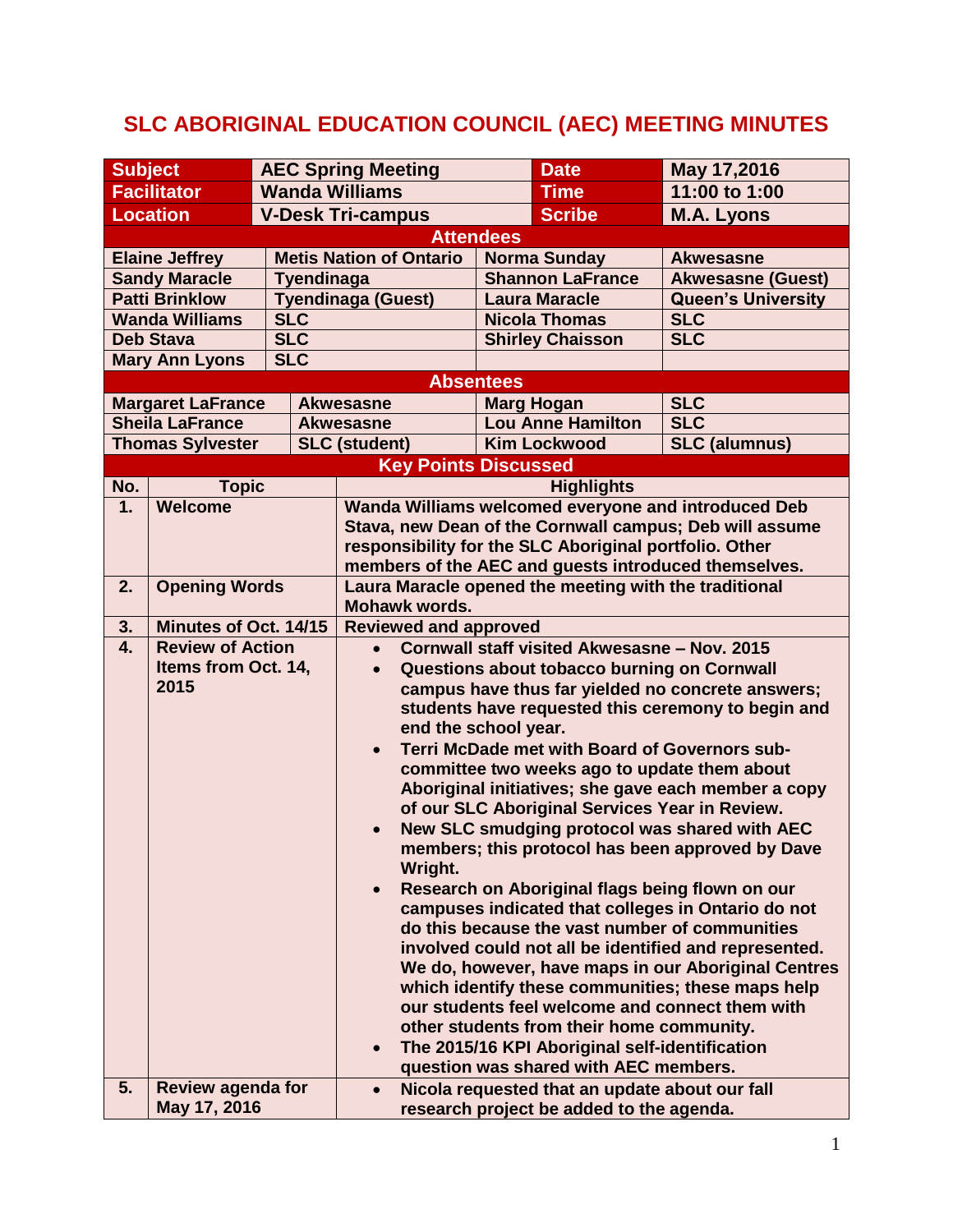## **SLC ABORIGINAL EDUCATION COUNCIL (AEC) MEETING MINUTES**

| <b>Subject</b>                        |                                                   | <b>AEC Spring Meeting</b> |                                                                                                      |                                                                                    |                  | <b>Date</b>                                    | May 17,2016               |  |  |
|---------------------------------------|---------------------------------------------------|---------------------------|------------------------------------------------------------------------------------------------------|------------------------------------------------------------------------------------|------------------|------------------------------------------------|---------------------------|--|--|
| <b>Facilitator</b>                    |                                                   | <b>Wanda Williams</b>     |                                                                                                      |                                                                                    |                  | <b>Time</b>                                    | 11:00 to 1:00             |  |  |
| <b>Location</b>                       |                                                   |                           | <b>V-Desk Tri-campus</b>                                                                             |                                                                                    |                  | <b>Scribe</b>                                  | <b>M.A. Lyons</b>         |  |  |
|                                       |                                                   |                           |                                                                                                      |                                                                                    | <b>Attendees</b> |                                                |                           |  |  |
| <b>Elaine Jeffrey</b>                 |                                                   |                           |                                                                                                      | <b>Metis Nation of Ontario</b>                                                     |                  | <b>Norma Sunday</b>                            | <b>Akwesasne</b>          |  |  |
| <b>Sandy Maracle</b>                  |                                                   |                           |                                                                                                      | <b>Tyendinaga</b>                                                                  |                  | <b>Shannon LaFrance</b>                        | <b>Akwesasne (Guest)</b>  |  |  |
| <b>Patti Brinklow</b>                 |                                                   |                           |                                                                                                      | <b>Tyendinaga (Guest)</b>                                                          |                  | <b>Laura Maracle</b>                           | <b>Queen's University</b> |  |  |
| <b>Wanda Williams</b>                 |                                                   |                           | <b>SLC</b>                                                                                           |                                                                                    |                  | <b>Nicola Thomas</b>                           | <b>SLC</b>                |  |  |
| <b>Deb Stava</b>                      |                                                   |                           | <b>SLC</b><br><b>SLC</b>                                                                             |                                                                                    |                  | <b>Shirley Chaisson</b>                        | <b>SLC</b>                |  |  |
|                                       | <b>Mary Ann Lyons</b>                             |                           |                                                                                                      |                                                                                    |                  |                                                |                           |  |  |
| <b>Absentees</b><br><b>Marg Hogan</b> |                                                   |                           |                                                                                                      |                                                                                    |                  |                                                |                           |  |  |
| <b>Margaret LaFrance</b>              |                                                   |                           | <b>Akwesasne</b><br><b>Akwesasne</b>                                                                 |                                                                                    |                  | <b>Lou Anne Hamilton</b>                       | <b>SLC</b><br><b>SLC</b>  |  |  |
|                                       | <b>Sheila LaFrance</b><br><b>Thomas Sylvester</b> |                           |                                                                                                      | <b>SLC</b> (student)                                                               |                  |                                                | <b>SLC (alumnus)</b>      |  |  |
|                                       |                                                   |                           |                                                                                                      | <b>Kim Lockwood</b><br><b>Key Points Discussed</b>                                 |                  |                                                |                           |  |  |
| No.                                   |                                                   |                           |                                                                                                      | <b>Highlights</b>                                                                  |                  |                                                |                           |  |  |
| 1.                                    | <b>Topic</b><br>Welcome                           |                           |                                                                                                      | Wanda Williams welcomed everyone and introduced Deb                                |                  |                                                |                           |  |  |
|                                       |                                                   |                           |                                                                                                      | Stava, new Dean of the Cornwall campus; Deb will assume                            |                  |                                                |                           |  |  |
|                                       |                                                   |                           |                                                                                                      | responsibility for the SLC Aboriginal portfolio. Other                             |                  |                                                |                           |  |  |
|                                       |                                                   |                           | members of the AEC and guests introduced themselves.                                                 |                                                                                    |                  |                                                |                           |  |  |
| 2.                                    | <b>Opening Words</b>                              |                           |                                                                                                      | Laura Maracle opened the meeting with the traditional                              |                  |                                                |                           |  |  |
|                                       |                                                   |                           |                                                                                                      | <b>Mohawk words.</b>                                                               |                  |                                                |                           |  |  |
| 3.                                    | Minutes of Oct. 14/15                             |                           |                                                                                                      | <b>Reviewed and approved</b>                                                       |                  |                                                |                           |  |  |
| 4.                                    | <b>Review of Action</b>                           |                           |                                                                                                      | Cornwall staff visited Akwesasne - Nov. 2015<br>$\bullet$                          |                  |                                                |                           |  |  |
|                                       | Items from Oct. 14,                               |                           |                                                                                                      | Questions about tobacco burning on Cornwall<br>$\bullet$                           |                  |                                                |                           |  |  |
| 2015                                  |                                                   |                           | campus have thus far yielded no concrete answers;                                                    |                                                                                    |                  |                                                |                           |  |  |
|                                       |                                                   |                           | students have requested this ceremony to begin and                                                   |                                                                                    |                  |                                                |                           |  |  |
|                                       |                                                   |                           |                                                                                                      | end the school year.<br>Terri McDade met with Board of Governors sub-<br>$\bullet$ |                  |                                                |                           |  |  |
|                                       |                                                   |                           |                                                                                                      | committee two weeks ago to update them about                                       |                  |                                                |                           |  |  |
|                                       |                                                   |                           | Aboriginal initiatives; she gave each member a copy                                                  |                                                                                    |                  |                                                |                           |  |  |
|                                       |                                                   |                           | of our SLC Aboriginal Services Year in Review.                                                       |                                                                                    |                  |                                                |                           |  |  |
|                                       |                                                   |                           | New SLC smudging protocol was shared with AEC<br>$\bullet$                                           |                                                                                    |                  |                                                |                           |  |  |
|                                       |                                                   |                           | members; this protocol has been approved by Dave                                                     |                                                                                    |                  |                                                |                           |  |  |
|                                       |                                                   |                           |                                                                                                      | Wright.                                                                            |                  |                                                |                           |  |  |
|                                       |                                                   |                           | Research on Aboriginal flags being flown on our                                                      |                                                                                    |                  |                                                |                           |  |  |
|                                       |                                                   |                           | campuses indicated that colleges in Ontario do not                                                   |                                                                                    |                  |                                                |                           |  |  |
|                                       |                                                   |                           | do this because the vast number of communities                                                       |                                                                                    |                  |                                                |                           |  |  |
|                                       |                                                   |                           | involved could not all be identified and represented.                                                |                                                                                    |                  |                                                |                           |  |  |
|                                       |                                                   |                           | We do, however, have maps in our Aboriginal Centres                                                  |                                                                                    |                  |                                                |                           |  |  |
|                                       |                                                   |                           | which identify these communities; these maps help<br>our students feel welcome and connect them with |                                                                                    |                  |                                                |                           |  |  |
|                                       |                                                   |                           | other students from their home community.                                                            |                                                                                    |                  |                                                |                           |  |  |
|                                       |                                                   |                           | The 2015/16 KPI Aboriginal self-identification<br>$\bullet$                                          |                                                                                    |                  |                                                |                           |  |  |
|                                       |                                                   |                           |                                                                                                      |                                                                                    |                  | question was shared with AEC members.          |                           |  |  |
| 5.                                    | <b>Review agenda for</b>                          |                           |                                                                                                      | $\bullet$                                                                          |                  | Nicola requested that an update about our fall |                           |  |  |
|                                       | May 17, 2016                                      |                           |                                                                                                      |                                                                                    |                  | research project be added to the agenda.       |                           |  |  |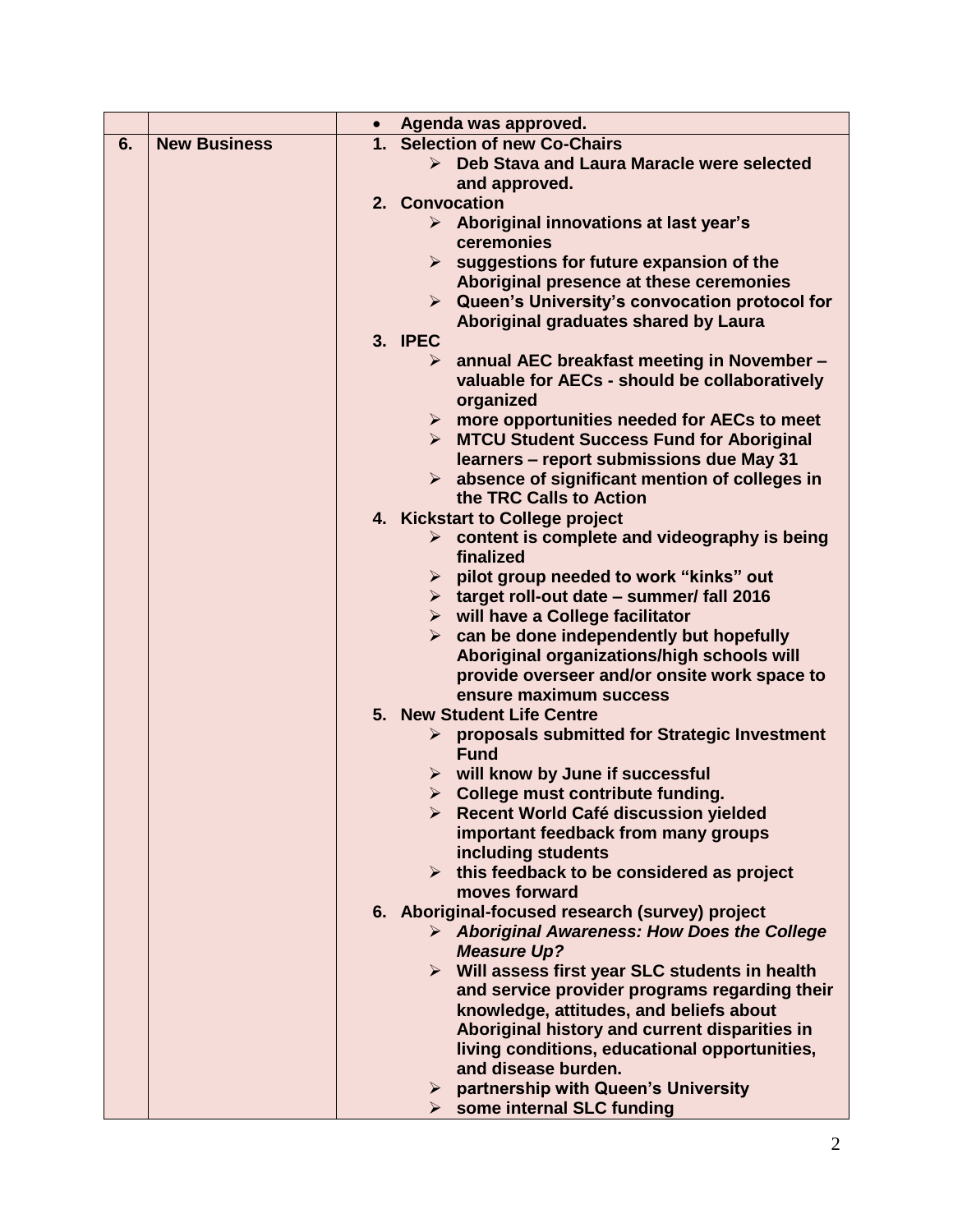|    |                     | Agenda was approved.                                           |
|----|---------------------|----------------------------------------------------------------|
| 6. | <b>New Business</b> | 1. Selection of new Co-Chairs                                  |
|    |                     | $\triangleright$ Deb Stava and Laura Maracle were selected     |
|    |                     | and approved.                                                  |
|    |                     | 2. Convocation                                                 |
|    |                     | $\triangleright$ Aboriginal innovations at last year's         |
|    |                     | ceremonies                                                     |
|    |                     | $\triangleright$ suggestions for future expansion of the       |
|    |                     | Aboriginal presence at these ceremonies                        |
|    |                     | $\triangleright$ Queen's University's convocation protocol for |
|    |                     | Aboriginal graduates shared by Laura                           |
|    |                     | 3. IPEC                                                        |
|    |                     | $\triangleright$ annual AEC breakfast meeting in November -    |
|    |                     | valuable for AECs - should be collaboratively                  |
|    |                     | organized                                                      |
|    |                     | $\triangleright$ more opportunities needed for AECs to meet    |
|    |                     | > MTCU Student Success Fund for Aboriginal                     |
|    |                     | learners - report submissions due May 31                       |
|    |                     | absence of significant mention of colleges in                  |
|    |                     | the TRC Calls to Action                                        |
|    |                     | 4. Kickstart to College project                                |
|    |                     | $\triangleright$ content is complete and videography is being  |
|    |                     | finalized                                                      |
|    |                     | > pilot group needed to work "kinks" out                       |
|    |                     | $\triangleright$ target roll-out date – summer/ fall 2016      |
|    |                     | $\triangleright$ will have a College facilitator               |
|    |                     | $\triangleright$ can be done independently but hopefully       |
|    |                     | Aboriginal organizations/high schools will                     |
|    |                     | provide overseer and/or onsite work space to                   |
|    |                     | ensure maximum success                                         |
|    |                     | 5. New Student Life Centre                                     |
|    |                     | $\triangleright$ proposals submitted for Strategic Investment  |
|    |                     | <b>Fund</b>                                                    |
|    |                     | $\triangleright$ will know by June if successful               |
|    |                     | $\triangleright$ College must contribute funding.              |
|    |                     | ▶ Recent World Café discussion yielded                         |
|    |                     | important feedback from many groups<br>including students      |
|    |                     | $\triangleright$ this feedback to be considered as project     |
|    |                     | moves forward                                                  |
|    |                     | 6. Aboriginal-focused research (survey) project                |
|    |                     | > Aboriginal Awareness: How Does the College                   |
|    |                     | <b>Measure Up?</b>                                             |
|    |                     | $\triangleright$ Will assess first year SLC students in health |
|    |                     | and service provider programs regarding their                  |
|    |                     | knowledge, attitudes, and beliefs about                        |
|    |                     | Aboriginal history and current disparities in                  |
|    |                     | living conditions, educational opportunities,                  |
|    |                     | and disease burden.                                            |
|    |                     | > partnership with Queen's University                          |
|    |                     | $\triangleright$ some internal SLC funding                     |